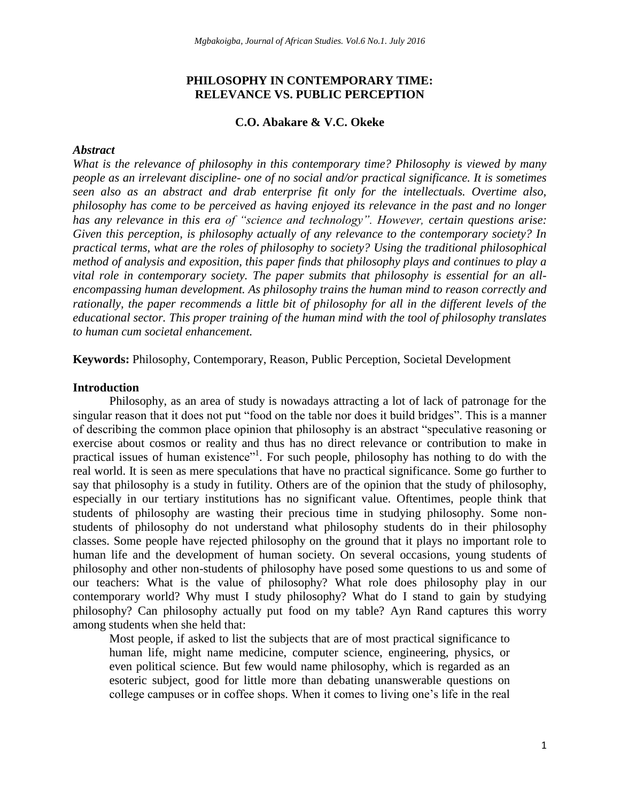# **PHILOSOPHY IN CONTEMPORARY TIME: RELEVANCE VS. PUBLIC PERCEPTION**

### **C.O. Abakare & V.C. Okeke**

### *Abstract*

*What is the relevance of philosophy in this contemporary time? Philosophy is viewed by many people as an irrelevant discipline- one of no social and/or practical significance. It is sometimes seen also as an abstract and drab enterprise fit only for the intellectuals. Overtime also, philosophy has come to be perceived as having enjoyed its relevance in the past and no longer has any relevance in this era of "science and technology". However, certain questions arise: Given this perception, is philosophy actually of any relevance to the contemporary society? In practical terms, what are the roles of philosophy to society? Using the traditional philosophical method of analysis and exposition, this paper finds that philosophy plays and continues to play a vital role in contemporary society. The paper submits that philosophy is essential for an allencompassing human development. As philosophy trains the human mind to reason correctly and rationally, the paper recommends a little bit of philosophy for all in the different levels of the educational sector. This proper training of the human mind with the tool of philosophy translates to human cum societal enhancement.*

**Keywords:** Philosophy, Contemporary, Reason, Public Perception, Societal Development

### **Introduction**

Philosophy, as an area of study is nowadays attracting a lot of lack of patronage for the singular reason that it does not put "food on the table nor does it build bridges". This is a manner of describing the common place opinion that philosophy is an abstract "speculative reasoning or exercise about cosmos or reality and thus has no direct relevance or contribution to make in practical issues of human existence"<sup>1</sup>. For such people, philosophy has nothing to do with the real world. It is seen as mere speculations that have no practical significance. Some go further to say that philosophy is a study in futility. Others are of the opinion that the study of philosophy, especially in our tertiary institutions has no significant value. Oftentimes, people think that students of philosophy are wasting their precious time in studying philosophy. Some nonstudents of philosophy do not understand what philosophy students do in their philosophy classes. Some people have rejected philosophy on the ground that it plays no important role to human life and the development of human society. On several occasions, young students of philosophy and other non-students of philosophy have posed some questions to us and some of our teachers: What is the value of philosophy? What role does philosophy play in our contemporary world? Why must I study philosophy? What do I stand to gain by studying philosophy? Can philosophy actually put food on my table? Ayn Rand captures this worry among students when she held that:

Most people, if asked to list the subjects that are of most practical significance to human life, might name medicine, computer science, engineering, physics, or even political science. But few would name philosophy, which is regarded as an esoteric subject, good for little more than debating unanswerable questions on college campuses or in coffee shops. When it comes to living one"s life in the real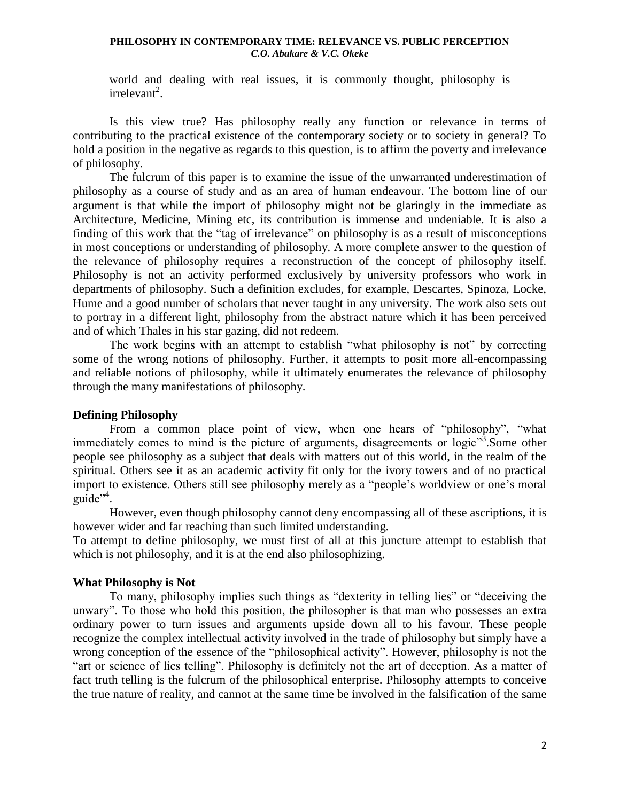world and dealing with real issues, it is commonly thought, philosophy is  $irrelevant<sup>2</sup>$ .

Is this view true? Has philosophy really any function or relevance in terms of contributing to the practical existence of the contemporary society or to society in general? To hold a position in the negative as regards to this question, is to affirm the poverty and irrelevance of philosophy.

The fulcrum of this paper is to examine the issue of the unwarranted underestimation of philosophy as a course of study and as an area of human endeavour. The bottom line of our argument is that while the import of philosophy might not be glaringly in the immediate as Architecture, Medicine, Mining etc, its contribution is immense and undeniable. It is also a finding of this work that the "tag of irrelevance" on philosophy is as a result of misconceptions in most conceptions or understanding of philosophy. A more complete answer to the question of the relevance of philosophy requires a reconstruction of the concept of philosophy itself. Philosophy is not an activity performed exclusively by university professors who work in departments of philosophy. Such a definition excludes, for example, Descartes, Spinoza, Locke, Hume and a good number of scholars that never taught in any university. The work also sets out to portray in a different light, philosophy from the abstract nature which it has been perceived and of which Thales in his star gazing, did not redeem.

The work begins with an attempt to establish "what philosophy is not" by correcting some of the wrong notions of philosophy. Further, it attempts to posit more all-encompassing and reliable notions of philosophy, while it ultimately enumerates the relevance of philosophy through the many manifestations of philosophy.

# **Defining Philosophy**

From a common place point of view, when one hears of "philosophy", "what immediately comes to mind is the picture of arguments, disagreements or logic"<sup>3</sup>. Some other people see philosophy as a subject that deals with matters out of this world, in the realm of the spiritual. Others see it as an academic activity fit only for the ivory towers and of no practical import to existence. Others still see philosophy merely as a "people"s worldview or one"s moral guide"<sup>4</sup>.

However, even though philosophy cannot deny encompassing all of these ascriptions, it is however wider and far reaching than such limited understanding.

To attempt to define philosophy, we must first of all at this juncture attempt to establish that which is not philosophy, and it is at the end also philosophizing.

# **What Philosophy is Not**

To many, philosophy implies such things as "dexterity in telling lies" or "deceiving the unwary". To those who hold this position, the philosopher is that man who possesses an extra ordinary power to turn issues and arguments upside down all to his favour. These people recognize the complex intellectual activity involved in the trade of philosophy but simply have a wrong conception of the essence of the "philosophical activity". However, philosophy is not the "art or science of lies telling". Philosophy is definitely not the art of deception. As a matter of fact truth telling is the fulcrum of the philosophical enterprise. Philosophy attempts to conceive the true nature of reality, and cannot at the same time be involved in the falsification of the same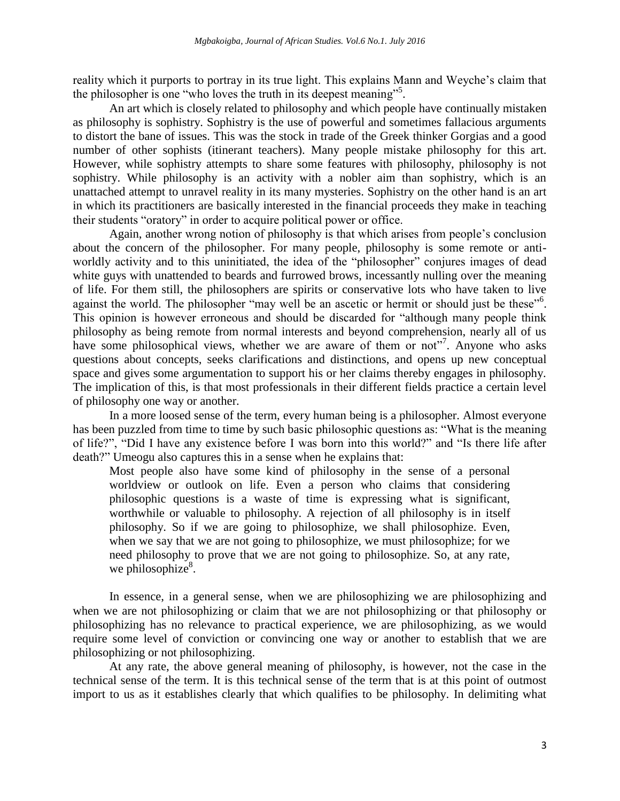reality which it purports to portray in its true light. This explains Mann and Weyche"s claim that the philosopher is one "who loves the truth in its deepest meaning"<sup>5</sup>.

An art which is closely related to philosophy and which people have continually mistaken as philosophy is sophistry. Sophistry is the use of powerful and sometimes fallacious arguments to distort the bane of issues. This was the stock in trade of the Greek thinker Gorgias and a good number of other sophists (itinerant teachers). Many people mistake philosophy for this art. However, while sophistry attempts to share some features with philosophy, philosophy is not sophistry. While philosophy is an activity with a nobler aim than sophistry, which is an unattached attempt to unravel reality in its many mysteries. Sophistry on the other hand is an art in which its practitioners are basically interested in the financial proceeds they make in teaching their students "oratory" in order to acquire political power or office.

Again, another wrong notion of philosophy is that which arises from people"s conclusion about the concern of the philosopher. For many people, philosophy is some remote or antiworldly activity and to this uninitiated, the idea of the "philosopher" conjures images of dead white guys with unattended to beards and furrowed brows, incessantly nulling over the meaning of life. For them still, the philosophers are spirits or conservative lots who have taken to live against the world. The philosopher "may well be an ascetic or hermit or should just be these"<sup>6</sup>. This opinion is however erroneous and should be discarded for "although many people think philosophy as being remote from normal interests and beyond comprehension, nearly all of us have some philosophical views, whether we are aware of them or not"<sup>7</sup>. Anyone who asks questions about concepts, seeks clarifications and distinctions, and opens up new conceptual space and gives some argumentation to support his or her claims thereby engages in philosophy. The implication of this, is that most professionals in their different fields practice a certain level of philosophy one way or another.

In a more loosed sense of the term, every human being is a philosopher. Almost everyone has been puzzled from time to time by such basic philosophic questions as: "What is the meaning of life?", "Did I have any existence before I was born into this world?" and "Is there life after death?" Umeogu also captures this in a sense when he explains that:

Most people also have some kind of philosophy in the sense of a personal worldview or outlook on life. Even a person who claims that considering philosophic questions is a waste of time is expressing what is significant, worthwhile or valuable to philosophy. A rejection of all philosophy is in itself philosophy. So if we are going to philosophize, we shall philosophize. Even, when we say that we are not going to philosophize, we must philosophize; for we need philosophy to prove that we are not going to philosophize. So, at any rate, we philosophize $8$ .

In essence, in a general sense, when we are philosophizing we are philosophizing and when we are not philosophizing or claim that we are not philosophizing or that philosophy or philosophizing has no relevance to practical experience, we are philosophizing, as we would require some level of conviction or convincing one way or another to establish that we are philosophizing or not philosophizing.

At any rate, the above general meaning of philosophy, is however, not the case in the technical sense of the term. It is this technical sense of the term that is at this point of outmost import to us as it establishes clearly that which qualifies to be philosophy. In delimiting what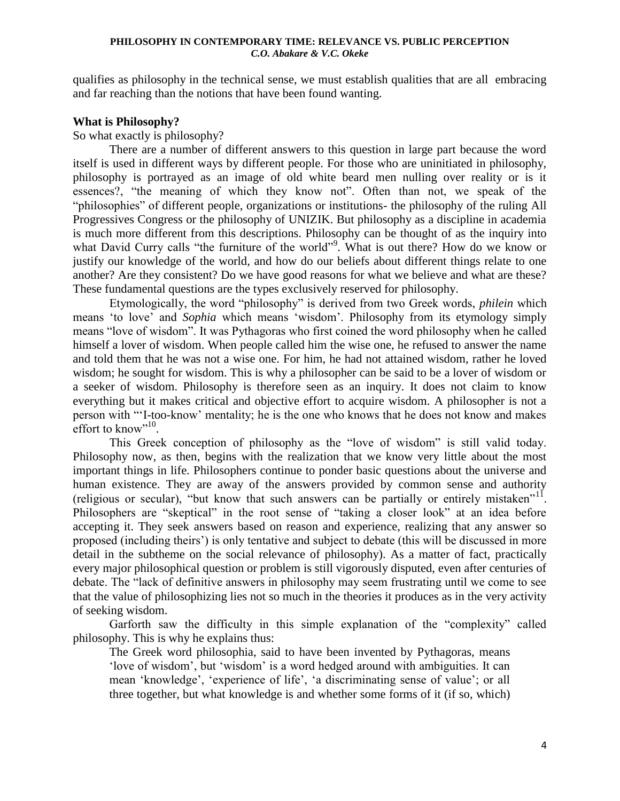qualifies as philosophy in the technical sense, we must establish qualities that are all embracing and far reaching than the notions that have been found wanting.

### **What is Philosophy?**

So what exactly is philosophy?

There are a number of different answers to this question in large part because the word itself is used in different ways by different people. For those who are uninitiated in philosophy, philosophy is portrayed as an image of old white beard men nulling over reality or is it essences?, "the meaning of which they know not". Often than not, we speak of the "philosophies" of different people, organizations or institutions- the philosophy of the ruling All Progressives Congress or the philosophy of UNIZIK. But philosophy as a discipline in academia is much more different from this descriptions. Philosophy can be thought of as the inquiry into what David Curry calls "the furniture of the world"<sup>9</sup>. What is out there? How do we know or justify our knowledge of the world, and how do our beliefs about different things relate to one another? Are they consistent? Do we have good reasons for what we believe and what are these? These fundamental questions are the types exclusively reserved for philosophy.

Etymologically, the word "philosophy" is derived from two Greek words, *philein* which means "to love" and *Sophia* which means "wisdom". Philosophy from its etymology simply means "love of wisdom". It was Pythagoras who first coined the word philosophy when he called himself a lover of wisdom. When people called him the wise one, he refused to answer the name and told them that he was not a wise one. For him, he had not attained wisdom, rather he loved wisdom; he sought for wisdom. This is why a philosopher can be said to be a lover of wisdom or a seeker of wisdom. Philosophy is therefore seen as an inquiry. It does not claim to know everything but it makes critical and objective effort to acquire wisdom. A philosopher is not a person with ""I-too-know" mentality; he is the one who knows that he does not know and makes effort to know"<sup>10</sup>.

This Greek conception of philosophy as the "love of wisdom" is still valid today. Philosophy now, as then, begins with the realization that we know very little about the most important things in life. Philosophers continue to ponder basic questions about the universe and human existence. They are away of the answers provided by common sense and authority (religious or secular), "but know that such answers can be partially or entirely mistaken"<sup>11</sup>. Philosophers are "skeptical" in the root sense of "taking a closer look" at an idea before accepting it. They seek answers based on reason and experience, realizing that any answer so proposed (including theirs") is only tentative and subject to debate (this will be discussed in more detail in the subtheme on the social relevance of philosophy). As a matter of fact, practically every major philosophical question or problem is still vigorously disputed, even after centuries of debate. The "lack of definitive answers in philosophy may seem frustrating until we come to see that the value of philosophizing lies not so much in the theories it produces as in the very activity of seeking wisdom.

Garforth saw the difficulty in this simple explanation of the "complexity" called philosophy. This is why he explains thus:

The Greek word philosophia, said to have been invented by Pythagoras, means "love of wisdom", but "wisdom" is a word hedged around with ambiguities. It can mean "knowledge", "experience of life", "a discriminating sense of value"; or all three together, but what knowledge is and whether some forms of it (if so, which)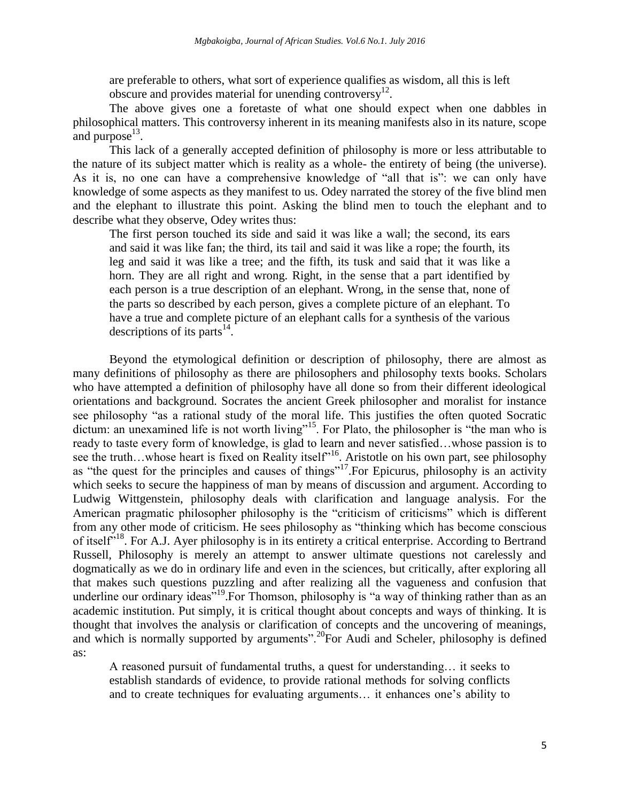are preferable to others, what sort of experience qualifies as wisdom, all this is left obscure and provides material for unending controversy<sup>12</sup>.

The above gives one a foretaste of what one should expect when one dabbles in philosophical matters. This controversy inherent in its meaning manifests also in its nature, scope and purpose $^{13}$ .

This lack of a generally accepted definition of philosophy is more or less attributable to the nature of its subject matter which is reality as a whole- the entirety of being (the universe). As it is, no one can have a comprehensive knowledge of "all that is": we can only have knowledge of some aspects as they manifest to us. Odey narrated the storey of the five blind men and the elephant to illustrate this point. Asking the blind men to touch the elephant and to describe what they observe, Odey writes thus:

The first person touched its side and said it was like a wall; the second, its ears and said it was like fan; the third, its tail and said it was like a rope; the fourth, its leg and said it was like a tree; and the fifth, its tusk and said that it was like a horn. They are all right and wrong. Right, in the sense that a part identified by each person is a true description of an elephant. Wrong, in the sense that, none of the parts so described by each person, gives a complete picture of an elephant. To have a true and complete picture of an elephant calls for a synthesis of the various descriptions of its parts  $14$ .

Beyond the etymological definition or description of philosophy, there are almost as many definitions of philosophy as there are philosophers and philosophy texts books. Scholars who have attempted a definition of philosophy have all done so from their different ideological orientations and background. Socrates the ancient Greek philosopher and moralist for instance see philosophy "as a rational study of the moral life. This justifies the often quoted Socratic dictum: an unexamined life is not worth living"<sup>15</sup>. For Plato, the philosopher is "the man who is ready to taste every form of knowledge, is glad to learn and never satisfied…whose passion is to see the truth…whose heart is fixed on Reality itself<sup>316</sup>. Aristotle on his own part, see philosophy as "the quest for the principles and causes of things"<sup>17</sup>. For Epicurus, philosophy is an activity which seeks to secure the happiness of man by means of discussion and argument. According to Ludwig Wittgenstein, philosophy deals with clarification and language analysis. For the American pragmatic philosopher philosophy is the "criticism of criticisms" which is different from any other mode of criticism. He sees philosophy as "thinking which has become conscious of itself"<sup>18</sup>. For A.J. Ayer philosophy is in its entirety a critical enterprise. According to Bertrand Russell, Philosophy is merely an attempt to answer ultimate questions not carelessly and dogmatically as we do in ordinary life and even in the sciences, but critically, after exploring all that makes such questions puzzling and after realizing all the vagueness and confusion that underline our ordinary ideas"<sup>19</sup>. For Thomson, philosophy is "a way of thinking rather than as an academic institution. Put simply, it is critical thought about concepts and ways of thinking. It is thought that involves the analysis or clarification of concepts and the uncovering of meanings, and which is normally supported by arguments".<sup>20</sup>For Audi and Scheler, philosophy is defined as:

A reasoned pursuit of fundamental truths, a quest for understanding… it seeks to establish standards of evidence, to provide rational methods for solving conflicts and to create techniques for evaluating arguments... it enhances one's ability to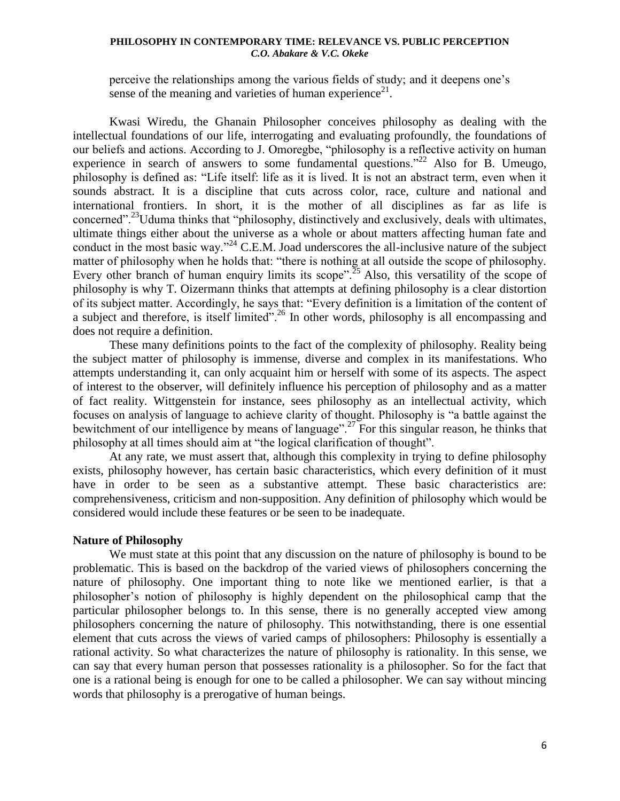perceive the relationships among the various fields of study; and it deepens one"s sense of the meaning and varieties of human experience<sup>21</sup>.

Kwasi Wiredu, the Ghanain Philosopher conceives philosophy as dealing with the intellectual foundations of our life, interrogating and evaluating profoundly, the foundations of our beliefs and actions. According to J. Omoregbe, "philosophy is a reflective activity on human experience in search of answers to some fundamental questions.<sup>"22</sup> Also for B. Umeugo, philosophy is defined as: "Life itself: life as it is lived. It is not an abstract term, even when it sounds abstract. It is a discipline that cuts across color, race, culture and national and international frontiers. In short, it is the mother of all disciplines as far as life is concerned".<sup>23</sup>Uduma thinks that "philosophy, distinctively and exclusively, deals with ultimates, ultimate things either about the universe as a whole or about matters affecting human fate and conduct in the most basic way."<sup>24</sup> C.E.M. Joad underscores the all-inclusive nature of the subject matter of philosophy when he holds that: "there is nothing at all outside the scope of philosophy. Every other branch of human enquiry limits its scope".<sup>25</sup> Also, this versatility of the scope of philosophy is why T. Oizermann thinks that attempts at defining philosophy is a clear distortion of its subject matter. Accordingly, he says that: "Every definition is a limitation of the content of a subject and therefore, is itself limited".<sup>26</sup> In other words, philosophy is all encompassing and does not require a definition.

These many definitions points to the fact of the complexity of philosophy. Reality being the subject matter of philosophy is immense, diverse and complex in its manifestations. Who attempts understanding it, can only acquaint him or herself with some of its aspects. The aspect of interest to the observer, will definitely influence his perception of philosophy and as a matter of fact reality. Wittgenstein for instance, sees philosophy as an intellectual activity, which focuses on analysis of language to achieve clarity of thought. Philosophy is "a battle against the bewitchment of our intelligence by means of language".<sup>27</sup> For this singular reason, he thinks that philosophy at all times should aim at "the logical clarification of thought".

At any rate, we must assert that, although this complexity in trying to define philosophy exists, philosophy however, has certain basic characteristics, which every definition of it must have in order to be seen as a substantive attempt. These basic characteristics are: comprehensiveness, criticism and non-supposition. Any definition of philosophy which would be considered would include these features or be seen to be inadequate.

## **Nature of Philosophy**

We must state at this point that any discussion on the nature of philosophy is bound to be problematic. This is based on the backdrop of the varied views of philosophers concerning the nature of philosophy. One important thing to note like we mentioned earlier, is that a philosopher"s notion of philosophy is highly dependent on the philosophical camp that the particular philosopher belongs to. In this sense, there is no generally accepted view among philosophers concerning the nature of philosophy. This notwithstanding, there is one essential element that cuts across the views of varied camps of philosophers: Philosophy is essentially a rational activity. So what characterizes the nature of philosophy is rationality. In this sense, we can say that every human person that possesses rationality is a philosopher. So for the fact that one is a rational being is enough for one to be called a philosopher. We can say without mincing words that philosophy is a prerogative of human beings.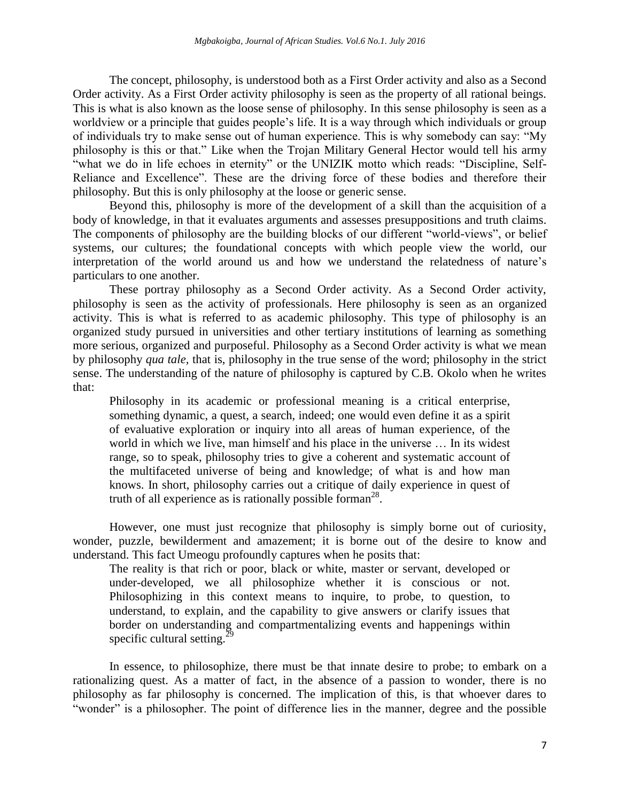The concept, philosophy, is understood both as a First Order activity and also as a Second Order activity. As a First Order activity philosophy is seen as the property of all rational beings. This is what is also known as the loose sense of philosophy. In this sense philosophy is seen as a worldview or a principle that guides people"s life. It is a way through which individuals or group of individuals try to make sense out of human experience. This is why somebody can say: "My philosophy is this or that." Like when the Trojan Military General Hector would tell his army "what we do in life echoes in eternity" or the UNIZIK motto which reads: "Discipline, Self-Reliance and Excellence". These are the driving force of these bodies and therefore their philosophy. But this is only philosophy at the loose or generic sense.

Beyond this, philosophy is more of the development of a skill than the acquisition of a body of knowledge, in that it evaluates arguments and assesses presuppositions and truth claims. The components of philosophy are the building blocks of our different "world-views", or belief systems, our cultures; the foundational concepts with which people view the world, our interpretation of the world around us and how we understand the relatedness of nature"s particulars to one another.

These portray philosophy as a Second Order activity. As a Second Order activity, philosophy is seen as the activity of professionals. Here philosophy is seen as an organized activity. This is what is referred to as academic philosophy. This type of philosophy is an organized study pursued in universities and other tertiary institutions of learning as something more serious, organized and purposeful. Philosophy as a Second Order activity is what we mean by philosophy *qua tale,* that is, philosophy in the true sense of the word; philosophy in the strict sense. The understanding of the nature of philosophy is captured by C.B. Okolo when he writes that:

Philosophy in its academic or professional meaning is a critical enterprise, something dynamic, a quest, a search, indeed; one would even define it as a spirit of evaluative exploration or inquiry into all areas of human experience, of the world in which we live, man himself and his place in the universe … In its widest range, so to speak, philosophy tries to give a coherent and systematic account of the multifaceted universe of being and knowledge; of what is and how man knows. In short, philosophy carries out a critique of daily experience in quest of truth of all experience as is rationally possible forman<sup>28</sup>.

However, one must just recognize that philosophy is simply borne out of curiosity, wonder, puzzle, bewilderment and amazement; it is borne out of the desire to know and understand. This fact Umeogu profoundly captures when he posits that:

The reality is that rich or poor, black or white, master or servant, developed or under-developed, we all philosophize whether it is conscious or not. Philosophizing in this context means to inquire, to probe, to question, to understand, to explain, and the capability to give answers or clarify issues that border on understanding and compartmentalizing events and happenings within specific cultural setting.<sup>29</sup>

In essence, to philosophize, there must be that innate desire to probe; to embark on a rationalizing quest. As a matter of fact, in the absence of a passion to wonder, there is no philosophy as far philosophy is concerned. The implication of this, is that whoever dares to "wonder" is a philosopher. The point of difference lies in the manner, degree and the possible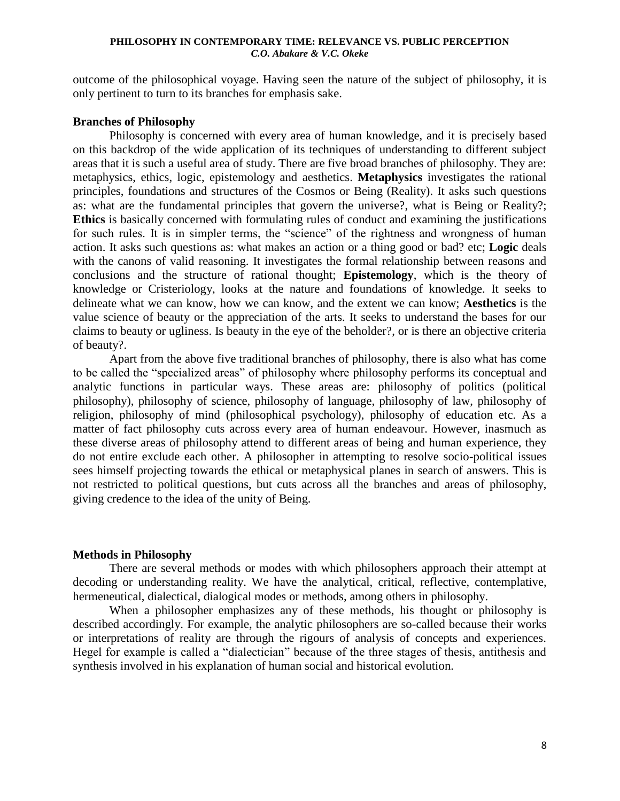outcome of the philosophical voyage. Having seen the nature of the subject of philosophy, it is only pertinent to turn to its branches for emphasis sake.

# **Branches of Philosophy**

Philosophy is concerned with every area of human knowledge, and it is precisely based on this backdrop of the wide application of its techniques of understanding to different subject areas that it is such a useful area of study. There are five broad branches of philosophy. They are: metaphysics, ethics, logic, epistemology and aesthetics. **Metaphysics** investigates the rational principles, foundations and structures of the Cosmos or Being (Reality). It asks such questions as: what are the fundamental principles that govern the universe?, what is Being or Reality?; **Ethics** is basically concerned with formulating rules of conduct and examining the justifications for such rules. It is in simpler terms, the "science" of the rightness and wrongness of human action. It asks such questions as: what makes an action or a thing good or bad? etc; **Logic** deals with the canons of valid reasoning. It investigates the formal relationship between reasons and conclusions and the structure of rational thought; **Epistemology**, which is the theory of knowledge or Cristeriology, looks at the nature and foundations of knowledge. It seeks to delineate what we can know, how we can know, and the extent we can know; **Aesthetics** is the value science of beauty or the appreciation of the arts. It seeks to understand the bases for our claims to beauty or ugliness. Is beauty in the eye of the beholder?, or is there an objective criteria of beauty?.

Apart from the above five traditional branches of philosophy, there is also what has come to be called the "specialized areas" of philosophy where philosophy performs its conceptual and analytic functions in particular ways. These areas are: philosophy of politics (political philosophy), philosophy of science, philosophy of language, philosophy of law, philosophy of religion, philosophy of mind (philosophical psychology), philosophy of education etc. As a matter of fact philosophy cuts across every area of human endeavour. However, inasmuch as these diverse areas of philosophy attend to different areas of being and human experience, they do not entire exclude each other. A philosopher in attempting to resolve socio-political issues sees himself projecting towards the ethical or metaphysical planes in search of answers. This is not restricted to political questions, but cuts across all the branches and areas of philosophy, giving credence to the idea of the unity of Being.

### **Methods in Philosophy**

There are several methods or modes with which philosophers approach their attempt at decoding or understanding reality. We have the analytical, critical, reflective, contemplative, hermeneutical, dialectical, dialogical modes or methods, among others in philosophy.

When a philosopher emphasizes any of these methods, his thought or philosophy is described accordingly. For example, the analytic philosophers are so-called because their works or interpretations of reality are through the rigours of analysis of concepts and experiences. Hegel for example is called a "dialectician" because of the three stages of thesis, antithesis and synthesis involved in his explanation of human social and historical evolution.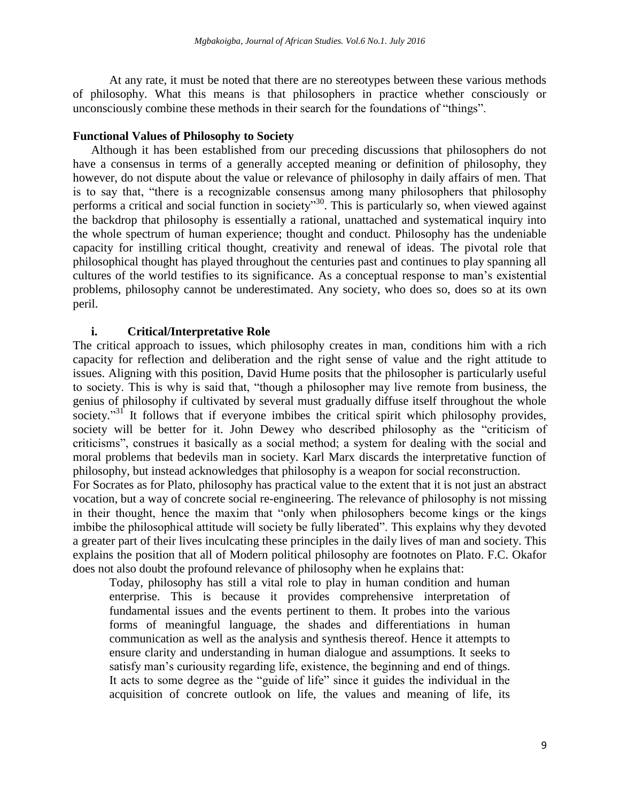At any rate, it must be noted that there are no stereotypes between these various methods of philosophy. What this means is that philosophers in practice whether consciously or unconsciously combine these methods in their search for the foundations of "things".

### **Functional Values of Philosophy to Society**

Although it has been established from our preceding discussions that philosophers do not have a consensus in terms of a generally accepted meaning or definition of philosophy, they however, do not dispute about the value or relevance of philosophy in daily affairs of men. That is to say that, "there is a recognizable consensus among many philosophers that philosophy performs a critical and social function in society<sup>30</sup>. This is particularly so, when viewed against the backdrop that philosophy is essentially a rational, unattached and systematical inquiry into the whole spectrum of human experience; thought and conduct. Philosophy has the undeniable capacity for instilling critical thought, creativity and renewal of ideas. The pivotal role that philosophical thought has played throughout the centuries past and continues to play spanning all cultures of the world testifies to its significance. As a conceptual response to man"s existential problems, philosophy cannot be underestimated. Any society, who does so, does so at its own peril.

### **i. Critical/Interpretative Role**

The critical approach to issues, which philosophy creates in man, conditions him with a rich capacity for reflection and deliberation and the right sense of value and the right attitude to issues. Aligning with this position, David Hume posits that the philosopher is particularly useful to society. This is why is said that, "though a philosopher may live remote from business, the genius of philosophy if cultivated by several must gradually diffuse itself throughout the whole society."<sup>31</sup> It follows that if everyone imbibes the critical spirit which philosophy provides, society will be better for it. John Dewey who described philosophy as the "criticism of criticisms", construes it basically as a social method; a system for dealing with the social and moral problems that bedevils man in society. Karl Marx discards the interpretative function of philosophy, but instead acknowledges that philosophy is a weapon for social reconstruction.

For Socrates as for Plato, philosophy has practical value to the extent that it is not just an abstract vocation, but a way of concrete social re-engineering. The relevance of philosophy is not missing in their thought, hence the maxim that "only when philosophers become kings or the kings imbibe the philosophical attitude will society be fully liberated". This explains why they devoted a greater part of their lives inculcating these principles in the daily lives of man and society. This explains the position that all of Modern political philosophy are footnotes on Plato. F.C. Okafor does not also doubt the profound relevance of philosophy when he explains that:

Today, philosophy has still a vital role to play in human condition and human enterprise. This is because it provides comprehensive interpretation of fundamental issues and the events pertinent to them. It probes into the various forms of meaningful language, the shades and differentiations in human communication as well as the analysis and synthesis thereof. Hence it attempts to ensure clarity and understanding in human dialogue and assumptions. It seeks to satisfy man"s curiousity regarding life, existence, the beginning and end of things. It acts to some degree as the "guide of life" since it guides the individual in the acquisition of concrete outlook on life, the values and meaning of life, its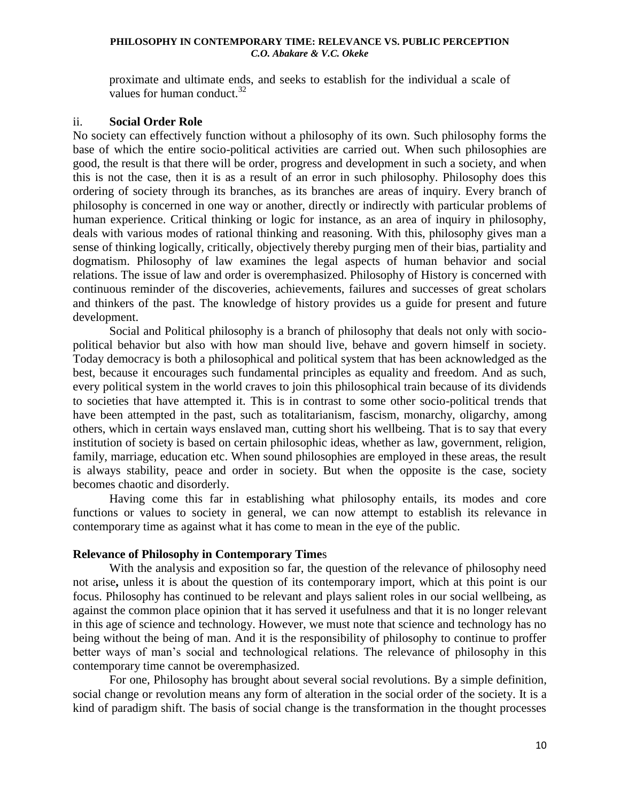proximate and ultimate ends, and seeks to establish for the individual a scale of values for human conduct. $32$ 

## ii. **Social Order Role**

No society can effectively function without a philosophy of its own. Such philosophy forms the base of which the entire socio-political activities are carried out. When such philosophies are good, the result is that there will be order, progress and development in such a society, and when this is not the case, then it is as a result of an error in such philosophy. Philosophy does this ordering of society through its branches, as its branches are areas of inquiry. Every branch of philosophy is concerned in one way or another, directly or indirectly with particular problems of human experience. Critical thinking or logic for instance, as an area of inquiry in philosophy, deals with various modes of rational thinking and reasoning. With this, philosophy gives man a sense of thinking logically, critically, objectively thereby purging men of their bias, partiality and dogmatism. Philosophy of law examines the legal aspects of human behavior and social relations. The issue of law and order is overemphasized. Philosophy of History is concerned with continuous reminder of the discoveries, achievements, failures and successes of great scholars and thinkers of the past. The knowledge of history provides us a guide for present and future development.

Social and Political philosophy is a branch of philosophy that deals not only with sociopolitical behavior but also with how man should live, behave and govern himself in society. Today democracy is both a philosophical and political system that has been acknowledged as the best, because it encourages such fundamental principles as equality and freedom. And as such, every political system in the world craves to join this philosophical train because of its dividends to societies that have attempted it. This is in contrast to some other socio-political trends that have been attempted in the past, such as totalitarianism, fascism, monarchy, oligarchy, among others, which in certain ways enslaved man, cutting short his wellbeing. That is to say that every institution of society is based on certain philosophic ideas, whether as law, government, religion, family, marriage, education etc. When sound philosophies are employed in these areas, the result is always stability, peace and order in society. But when the opposite is the case, society becomes chaotic and disorderly.

Having come this far in establishing what philosophy entails, its modes and core functions or values to society in general, we can now attempt to establish its relevance in contemporary time as against what it has come to mean in the eye of the public.

# **Relevance of Philosophy in Contemporary Time**s

With the analysis and exposition so far, the question of the relevance of philosophy need not arise**,** unless it is about the question of its contemporary import, which at this point is our focus. Philosophy has continued to be relevant and plays salient roles in our social wellbeing, as against the common place opinion that it has served it usefulness and that it is no longer relevant in this age of science and technology. However, we must note that science and technology has no being without the being of man. And it is the responsibility of philosophy to continue to proffer better ways of man"s social and technological relations. The relevance of philosophy in this contemporary time cannot be overemphasized.

For one, Philosophy has brought about several social revolutions. By a simple definition, social change or revolution means any form of alteration in the social order of the society. It is a kind of paradigm shift. The basis of social change is the transformation in the thought processes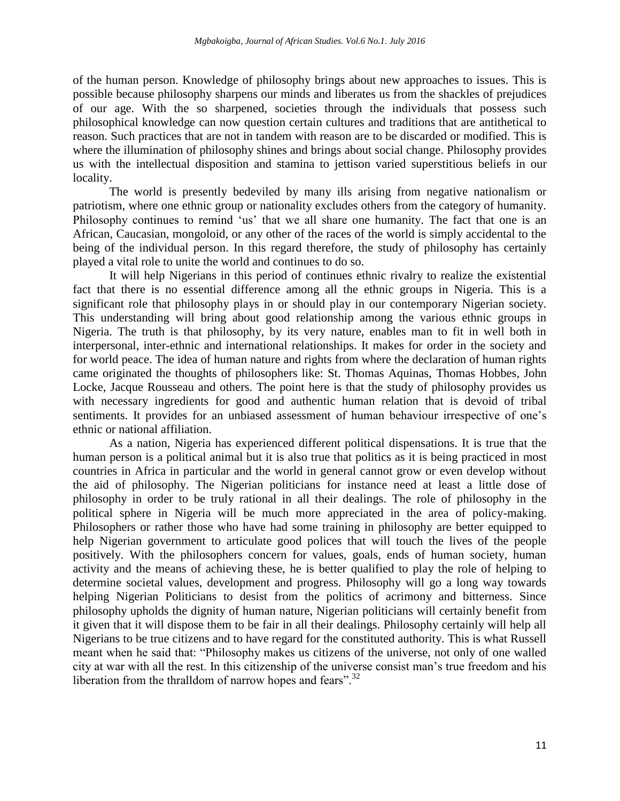of the human person. Knowledge of philosophy brings about new approaches to issues. This is possible because philosophy sharpens our minds and liberates us from the shackles of prejudices of our age. With the so sharpened, societies through the individuals that possess such philosophical knowledge can now question certain cultures and traditions that are antithetical to reason. Such practices that are not in tandem with reason are to be discarded or modified. This is where the illumination of philosophy shines and brings about social change. Philosophy provides us with the intellectual disposition and stamina to jettison varied superstitious beliefs in our locality.

The world is presently bedeviled by many ills arising from negative nationalism or patriotism, where one ethnic group or nationality excludes others from the category of humanity. Philosophy continues to remind 'us' that we all share one humanity. The fact that one is an African, Caucasian, mongoloid, or any other of the races of the world is simply accidental to the being of the individual person. In this regard therefore, the study of philosophy has certainly played a vital role to unite the world and continues to do so.

It will help Nigerians in this period of continues ethnic rivalry to realize the existential fact that there is no essential difference among all the ethnic groups in Nigeria. This is a significant role that philosophy plays in or should play in our contemporary Nigerian society. This understanding will bring about good relationship among the various ethnic groups in Nigeria. The truth is that philosophy, by its very nature, enables man to fit in well both in interpersonal, inter-ethnic and international relationships. It makes for order in the society and for world peace. The idea of human nature and rights from where the declaration of human rights came originated the thoughts of philosophers like: St. Thomas Aquinas, Thomas Hobbes, John Locke, Jacque Rousseau and others. The point here is that the study of philosophy provides us with necessary ingredients for good and authentic human relation that is devoid of tribal sentiments. It provides for an unbiased assessment of human behaviour irrespective of one's ethnic or national affiliation.

As a nation, Nigeria has experienced different political dispensations. It is true that the human person is a political animal but it is also true that politics as it is being practiced in most countries in Africa in particular and the world in general cannot grow or even develop without the aid of philosophy. The Nigerian politicians for instance need at least a little dose of philosophy in order to be truly rational in all their dealings. The role of philosophy in the political sphere in Nigeria will be much more appreciated in the area of policy-making. Philosophers or rather those who have had some training in philosophy are better equipped to help Nigerian government to articulate good polices that will touch the lives of the people positively. With the philosophers concern for values, goals, ends of human society, human activity and the means of achieving these, he is better qualified to play the role of helping to determine societal values, development and progress. Philosophy will go a long way towards helping Nigerian Politicians to desist from the politics of acrimony and bitterness. Since philosophy upholds the dignity of human nature, Nigerian politicians will certainly benefit from it given that it will dispose them to be fair in all their dealings. Philosophy certainly will help all Nigerians to be true citizens and to have regard for the constituted authority. This is what Russell meant when he said that: "Philosophy makes us citizens of the universe, not only of one walled city at war with all the rest. In this citizenship of the universe consist man"s true freedom and his liberation from the thralldom of narrow hopes and fears".<sup>32</sup>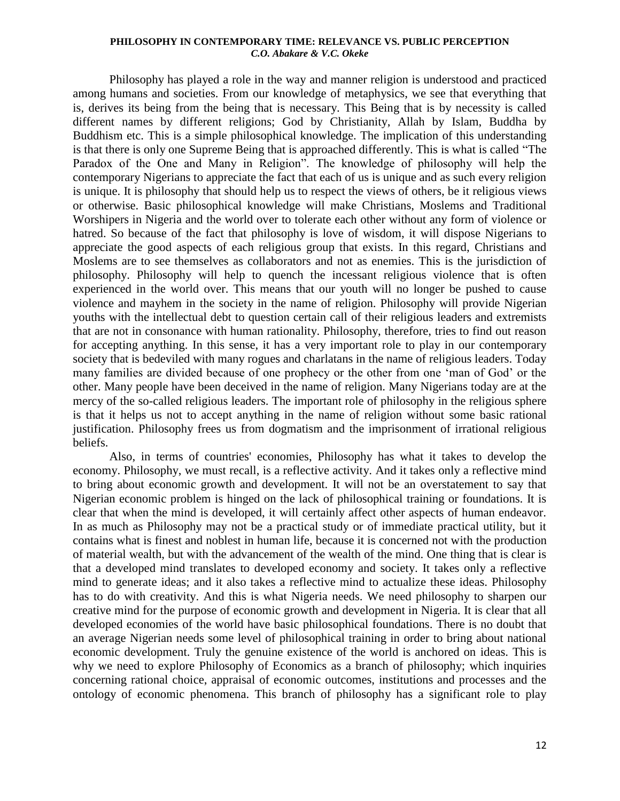Philosophy has played a role in the way and manner religion is understood and practiced among humans and societies. From our knowledge of metaphysics, we see that everything that is, derives its being from the being that is necessary. This Being that is by necessity is called different names by different religions; God by Christianity, Allah by Islam, Buddha by Buddhism etc. This is a simple philosophical knowledge. The implication of this understanding is that there is only one Supreme Being that is approached differently. This is what is called "The Paradox of the One and Many in Religion". The knowledge of philosophy will help the contemporary Nigerians to appreciate the fact that each of us is unique and as such every religion is unique. It is philosophy that should help us to respect the views of others, be it religious views or otherwise. Basic philosophical knowledge will make Christians, Moslems and Traditional Worshipers in Nigeria and the world over to tolerate each other without any form of violence or hatred. So because of the fact that philosophy is love of wisdom, it will dispose Nigerians to appreciate the good aspects of each religious group that exists. In this regard, Christians and Moslems are to see themselves as collaborators and not as enemies. This is the jurisdiction of philosophy. Philosophy will help to quench the incessant religious violence that is often experienced in the world over. This means that our youth will no longer be pushed to cause violence and mayhem in the society in the name of religion. Philosophy will provide Nigerian youths with the intellectual debt to question certain call of their religious leaders and extremists that are not in consonance with human rationality. Philosophy, therefore, tries to find out reason for accepting anything. In this sense, it has a very important role to play in our contemporary society that is bedeviled with many rogues and charlatans in the name of religious leaders. Today many families are divided because of one prophecy or the other from one "man of God" or the other. Many people have been deceived in the name of religion. Many Nigerians today are at the mercy of the so-called religious leaders. The important role of philosophy in the religious sphere is that it helps us not to accept anything in the name of religion without some basic rational justification. Philosophy frees us from dogmatism and the imprisonment of irrational religious beliefs.

Also, in terms of countries' economies, Philosophy has what it takes to develop the economy. Philosophy, we must recall, is a reflective activity. And it takes only a reflective mind to bring about economic growth and development. It will not be an overstatement to say that Nigerian economic problem is hinged on the lack of philosophical training or foundations. It is clear that when the mind is developed, it will certainly affect other aspects of human endeavor. In as much as Philosophy may not be a practical study or of immediate practical utility, but it contains what is finest and noblest in human life, because it is concerned not with the production of material wealth, but with the advancement of the wealth of the mind. One thing that is clear is that a developed mind translates to developed economy and society. It takes only a reflective mind to generate ideas; and it also takes a reflective mind to actualize these ideas. Philosophy has to do with creativity. And this is what Nigeria needs. We need philosophy to sharpen our creative mind for the purpose of economic growth and development in Nigeria. It is clear that all developed economies of the world have basic philosophical foundations. There is no doubt that an average Nigerian needs some level of philosophical training in order to bring about national economic development. Truly the genuine existence of the world is anchored on ideas. This is why we need to explore Philosophy of Economics as a branch of philosophy; which inquiries concerning rational choice, appraisal of economic outcomes, institutions and processes and the ontology of economic phenomena. This branch of philosophy has a significant role to play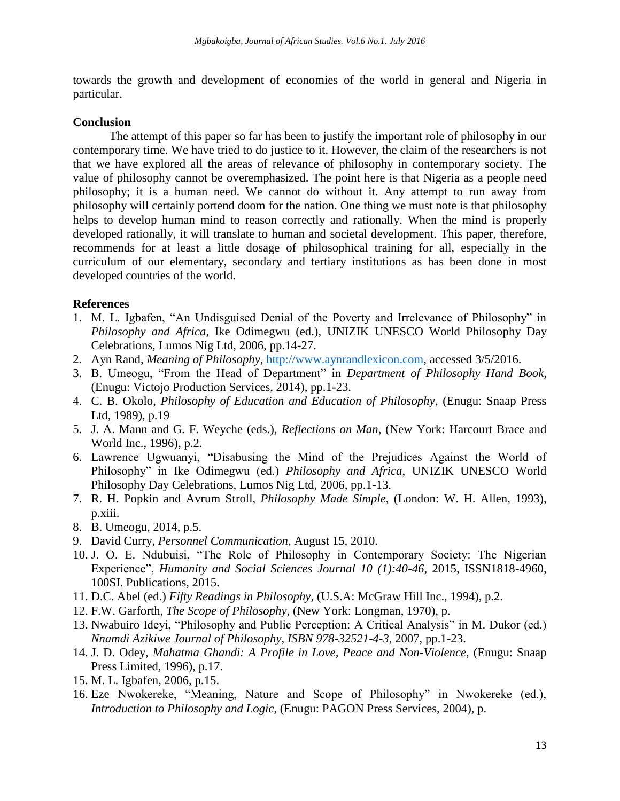towards the growth and development of economies of the world in general and Nigeria in particular.

# **Conclusion**

The attempt of this paper so far has been to justify the important role of philosophy in our contemporary time. We have tried to do justice to it. However, the claim of the researchers is not that we have explored all the areas of relevance of philosophy in contemporary society. The value of philosophy cannot be overemphasized. The point here is that Nigeria as a people need philosophy; it is a human need. We cannot do without it. Any attempt to run away from philosophy will certainly portend doom for the nation. One thing we must note is that philosophy helps to develop human mind to reason correctly and rationally. When the mind is properly developed rationally, it will translate to human and societal development. This paper, therefore, recommends for at least a little dosage of philosophical training for all, especially in the curriculum of our elementary, secondary and tertiary institutions as has been done in most developed countries of the world.

## **References**

- 1. M. L. Igbafen, "An Undisguised Denial of the Poverty and Irrelevance of Philosophy" in *Philosophy and Africa*, Ike Odimegwu (ed.), UNIZIK UNESCO World Philosophy Day Celebrations, Lumos Nig Ltd, 2006, pp.14-27.
- 2. Ayn Rand, *Meaning of Philosophy*, [http://www.aynrandlexicon.com,](http://www.aynrandlexicon.com/) accessed 3/5/2016.
- 3. B. Umeogu, "From the Head of Department" in *Department of Philosophy Hand Book*, (Enugu: Victojo Production Services, 2014), pp.1-23.
- 4. C. B. Okolo, *Philosophy of Education and Education of Philosophy*, (Enugu: Snaap Press Ltd, 1989), p.19
- 5. J. A. Mann and G. F. Weyche (eds.), *Reflections on Man*, (New York: Harcourt Brace and World Inc., 1996), p.2.
- 6. Lawrence Ugwuanyi, "Disabusing the Mind of the Prejudices Against the World of Philosophy" in Ike Odimegwu (ed.) *Philosophy and Africa*, UNIZIK UNESCO World Philosophy Day Celebrations, Lumos Nig Ltd, 2006, pp.1-13.
- 7. R. H. Popkin and Avrum Stroll, *Philosophy Made Simple*, (London: W. H. Allen, 1993), p.xiii.
- 8. B. Umeogu, 2014, p.5.
- 9. David Curry, *Personnel Communication*, August 15, 2010.
- 10. J. O. E. Ndubuisi, "The Role of Philosophy in Contemporary Society: The Nigerian Experience", *Humanity and Social Sciences Journal 10 (1):40-46*, 2015, ISSN1818-4960, 100SI. Publications, 2015.
- 11. D.C. Abel (ed.) *Fifty Readings in Philosophy*, (U.S.A: McGraw Hill Inc., 1994), p.2.
- 12. F.W. Garforth, *The Scope of Philosophy*, (New York: Longman, 1970), p.
- 13. Nwabuiro Ideyi, "Philosophy and Public Perception: A Critical Analysis" in M. Dukor (ed.) *Nnamdi Azikiwe Journal of Philosophy, ISBN 978-32521-4-3*, 2007, pp.1-23.
- 14. J. D. Odey, *Mahatma Ghandi: A Profile in Love, Peace and Non-Violence*, (Enugu: Snaap Press Limited, 1996), p.17.
- 15. M. L. Igbafen, 2006, p.15.
- 16. Eze Nwokereke, "Meaning, Nature and Scope of Philosophy" in Nwokereke (ed.), *Introduction to Philosophy and Logic*, (Enugu: PAGON Press Services, 2004), p.